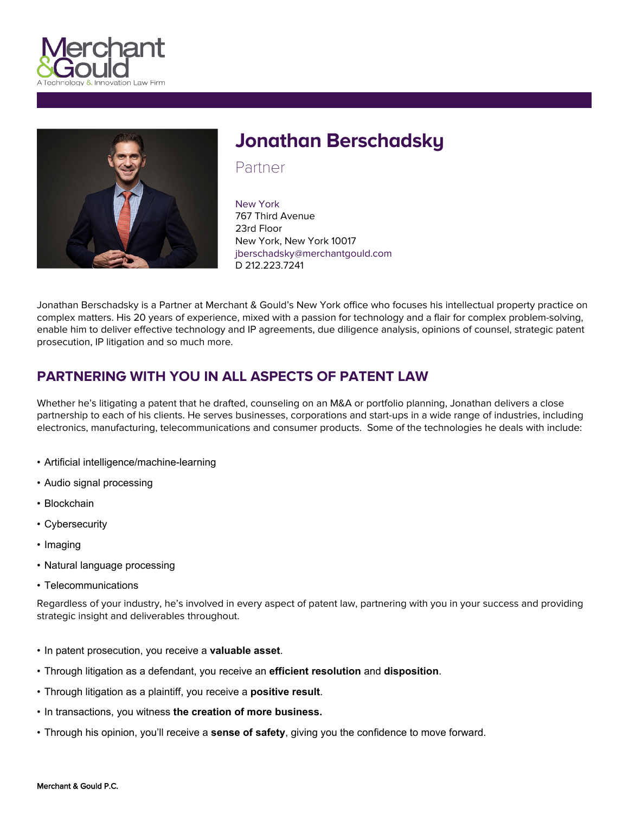



# **Jonathan Berschadsky**

Partner

New York 767 Third Avenue 23rd Floor New York, New York 10017 jberschadsky@merchantgould.com D 212.223.7241

Jonathan Berschadsky is a Partner at Merchant & Gould's New York office who focuses his intellectual property practice on complex matters. His 20 years of experience, mixed with a passion for technology and a flair for complex problem-solving, enable him to deliver effective technology and IP agreements, due diligence analysis, opinions of counsel, strategic patent prosecution, IP litigation and so much more.

# **PARTNERING WITH YOU IN ALL ASPECTS OF PATENT LAW**

Whether he's litigating a patent that he drafted, counseling on an M&A or portfolio planning, Jonathan delivers a close partnership to each of his clients. He serves businesses, corporations and start-ups in a wide range of industries, including electronics, manufacturing, telecommunications and consumer products. Some of the technologies he deals with include:

- Artificial intelligence/machine-learning
- Audio signal processing
- Blockchain
- Cybersecurity
- Imaging
- Natural language processing
- Telecommunications

Regardless of your industry, he's involved in every aspect of patent law, partnering with you in your success and providing strategic insight and deliverables throughout.

- In patent prosecution, you receive a **valuable asset**.
- Through litigation as a defendant, you receive an **efficient resolution** and **disposition**.
- Through litigation as a plaintiff, you receive a **positive result**.
- In transactions, you witness **the creation of more business.**
- Through his opinion, you'll receive a **sense of safety**, giving you the confidence to move forward.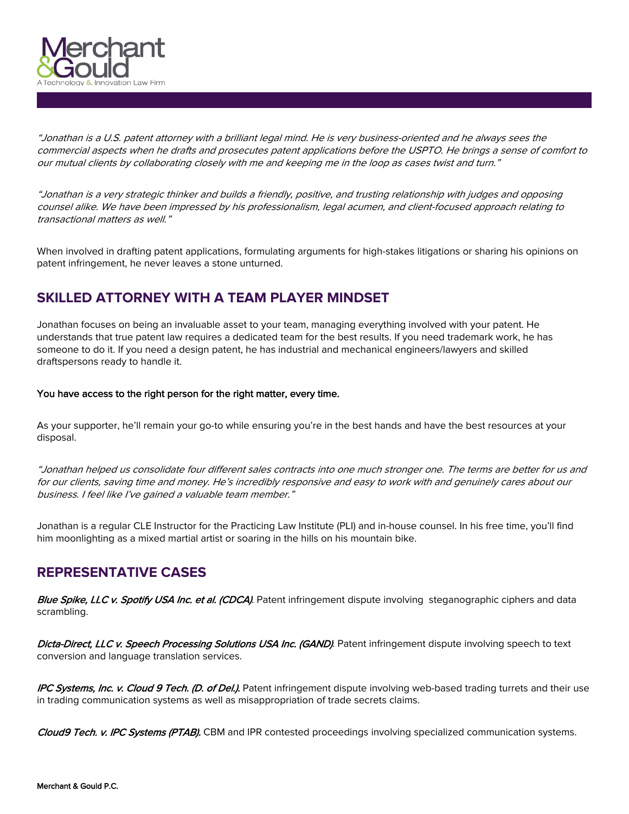

"Jonathan is a U.S. patent attorney with a brilliant legal mind. He is very business-oriented and he always sees the commercial aspects when he drafts and prosecutes patent applications before the USPTO. He brings a sense of comfort to our mutual clients by collaborating closely with me and keeping me in the loop as cases twist and turn."

"Jonathan is a very strategic thinker and builds a friendly, positive, and trusting relationship with judges and opposing counsel alike. We have been impressed by his professionalism, legal acumen, and client-focused approach relating to *transactional matters as well."*

When involved in drafting patent applications, formulating arguments for high-stakes litigations or sharing his opinions on patent infringement, he never leaves a stone unturned.

# **SKILLED ATTORNEY WITH A TEAM PLAYER MINDSET**

Jonathan focuses on being an invaluable asset to your team, managing everything involved with your patent. He understands that true patent law requires a dedicated team for the best results. If you need trademark work, he has someone to do it. If you need a design patent, he has industrial and mechanical engineers/lawyers and skilled draftspersons ready to handle it.

**You have access to the right person for the right matter, every time.**

As your supporter, he'll remain your go-to while ensuring you're in the best hands and have the best resources at your disposal.

"Jonathan helped us consolidate four different sales contracts into one much stronger one. The terms are better for us and for our clients, saving time and money. He's incredibly responsive and easy to work with and genuinely cares about our *business. I feel like I've gained <sup>a</sup> valuable team member."*

Jonathan is a regular CLE Instructor for the Practicing Law Institute (PLI) and in-house counsel. In his free time, you'll find him moonlighting as a mixed martial artist or soaring in the hills on his mountain bike.

## **REPRESENTATIVE CASES**

*Blue Spike, LLC v. Spotify USA Inc. et al. (CDCA)*. Patent infringement dispute involving steganographic ciphers and data scrambling.

*Dicta-Direct, LLC v. Speech Processing Solutions USA Inc. (GAND)*. Patent infringement dispute involving speech to text conversion and language translation services.

*IPC Systems, Inc. v. Cloud 9 Tech. (D. of Del.)***.** Patent infringement dispute involving web-based trading turrets and their use in trading communication systems as well as misappropriation of trade secrets claims.

*Cloud9 Tech. v. IPC Systems (PTAB).* CBM and IPR contested proceedings involving specialized communication systems.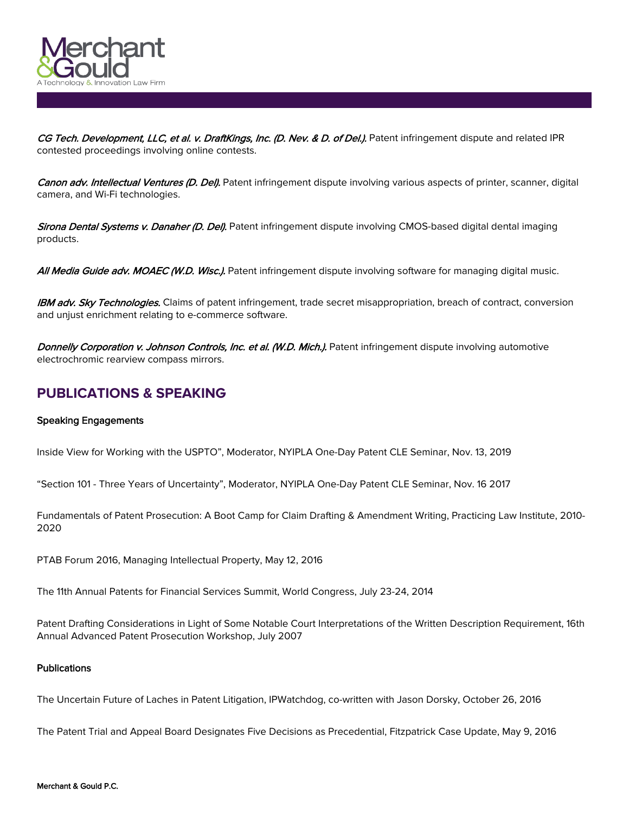

CG Tech. Development, LLC, et al. v. DraftKings, Inc. (D. Nev. & D. of Del.). Patent infringement dispute and related IPR contested proceedings involving online contests.

*Canon adv. Intellectual Ventures (D. Del).* Patent infringement dispute involving various aspects of printer, scanner, digital camera, and Wi-Fi technologies.

*Sirona Dental Systems v. Danaher (D. Del).* Patent infringement dispute involving CMOS-based digital dental imaging products.

*All Media Guide adv. MOAEC (W.D. Wisc.).* Patent infringement dispute involving software for managing digital music.

*IBM adv. Sky Technologies.* Claims of patent infringement, trade secret misappropriation, breach of contract, conversion and unjust enrichment relating to e-commerce software.

*Donnelly Corporation v. Johnson Controls, Inc. et al. (W.D. Mich.).* Patent infringement dispute involving automotive electrochromic rearview compass mirrors.

# **PUBLICATIONS & SPEAKING**

#### **Speaking Engagements**

Inside View for Working with the USPTO", Moderator, NYIPLA One-Day Patent CLE Seminar, Nov. 13, 2019

"Section 101 - Three Years of Uncertainty", Moderator, NYIPLA One-Day Patent CLE Seminar, Nov. 16 2017

Fundamentals of Patent Prosecution: A Boot Camp for Claim Drafting & Amendment Writing, Practicing Law Institute, 2010- 2020

PTAB Forum 2016, Managing Intellectual Property, May 12, 2016

The 11th Annual Patents for Financial Services Summit, World Congress, July 23-24, 2014

Patent Drafting Considerations in Light of Some Notable Court Interpretations of the Written Description Requirement, 16th Annual Advanced Patent Prosecution Workshop, July 2007

#### **Publications**

The Uncertain Future of Laches in Patent Litigation, IPWatchdog, co-written with Jason Dorsky, October 26, 2016

The Patent Trial and Appeal Board Designates Five Decisions as Precedential, Fitzpatrick Case Update, May 9, 2016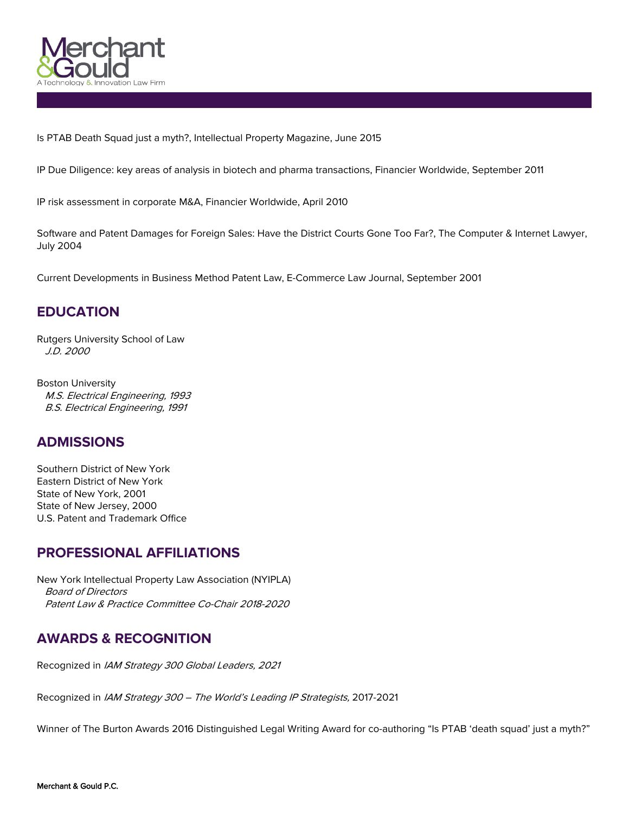

Is PTAB Death Squad just a myth?, Intellectual Property Magazine, June 2015

IP Due Diligence: key areas of analysis in biotech and pharma transactions, Financier Worldwide, September 2011

IP risk assessment in corporate M&A, Financier Worldwide, April 2010

Software and Patent Damages for Foreign Sales: Have the District Courts Gone Too Far?, The Computer & Internet Lawyer, July 2004

Current Developments in Business Method Patent Law, E-Commerce Law Journal, September 2001

# **EDUCATION**

Rutgers University School of Law *J.D. 2000*

Boston University *M.S. Electrical Engineering, 1993 B.S. Electrical Engineering, 1991*

## **ADMISSIONS**

Southern District of New York Eastern District of New York State of New York, 2001 State of New Jersey, 2000 U.S. Patent and Trademark Office

## **PROFESSIONAL AFFILIATIONS**

New York Intellectual Property Law Association (NYIPLA) *Board of Directors Patent Law & Practice Committee Co-Chair 2018-2020*

# **AWARDS & RECOGNITION**

Recognized in *IAM Strategy <sup>300</sup> Global Leaders, <sup>2021</sup>*

Recognized in *IAM Strategy <sup>300</sup> – The World's Leading IP Strategists,* 2017-2021

Winner of The Burton Awards 2016 Distinguished Legal Writing Award for co-authoring "Is PTAB 'death squad' just a myth?"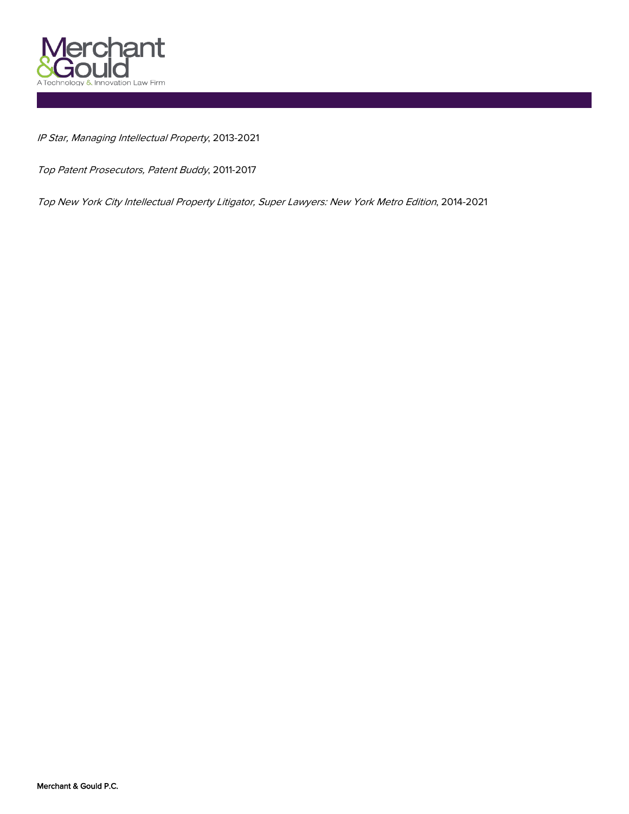

*IP Star, Managing Intellectual Property*, 2013-2021

*Top Patent Prosecutors, Patent Buddy*, 2011-2017

*Top New York City Intellectual Property Litigator, Super Lawyers: New York Metro Edition*, 2014-2021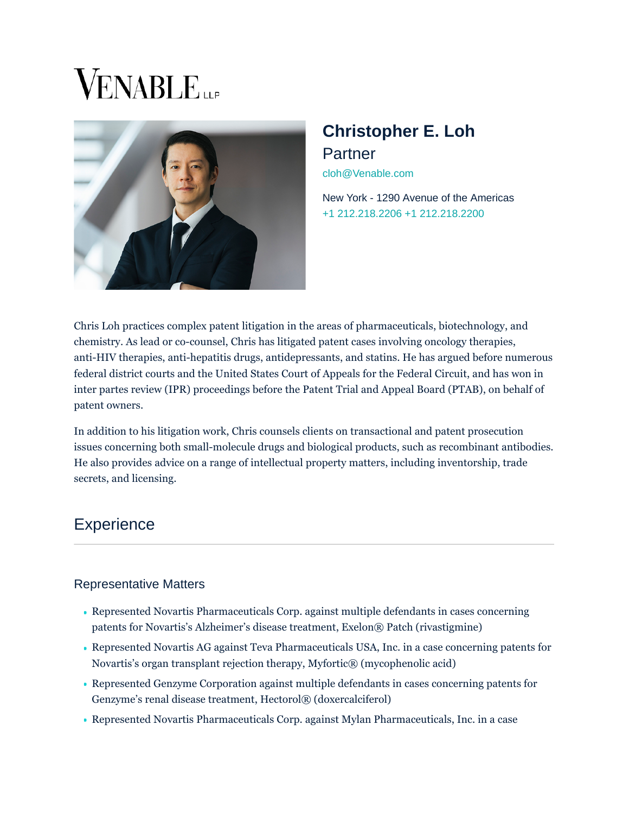# **VENABLE**



# **Christopher E. Loh** Partner [cloh@Venable.com](mailto:cloh@Venable.com)

[New York - 1290 Avenue of the Americas](https://www.venable.com/offices/new-york-ny-1290) [+1 212.218.2206 +](tel:212.218.2206)1 212.218.2200

Chris Loh practices complex patent litigation in the areas of pharmaceuticals, biotechnology, and chemistry. As lead or co-counsel, Chris has litigated patent cases involving oncology therapies, anti-HIV therapies, anti-hepatitis drugs, antidepressants, and statins. He has argued before numerous federal district courts and the United States Court of Appeals for the Federal Circuit, and has won in inter partes review (IPR) proceedings before the Patent Trial and Appeal Board (PTAB), on behalf of patent owners.

In addition to his litigation work, Chris counsels clients on transactional and patent prosecution issues concerning both small-molecule drugs and biological products, such as recombinant antibodies. He also provides advice on a range of intellectual property matters, including inventorship, trade secrets, and licensing.

# **Experience**

## Representative Matters

- Represented Novartis Pharmaceuticals Corp. against multiple defendants in cases concerning patents for Novartis's Alzheimer's disease treatment, Exelon® Patch (rivastigmine)
- Represented Novartis AG against Teva Pharmaceuticals USA, Inc. in a case concerning patents for Novartis's organ transplant rejection therapy, Myfortic® (mycophenolic acid)
- Represented Genzyme Corporation against multiple defendants in cases concerning patents for Genzyme's renal disease treatment, Hectorol® (doxercalciferol)
- Represented Novartis Pharmaceuticals Corp. against Mylan Pharmaceuticals, Inc. in a case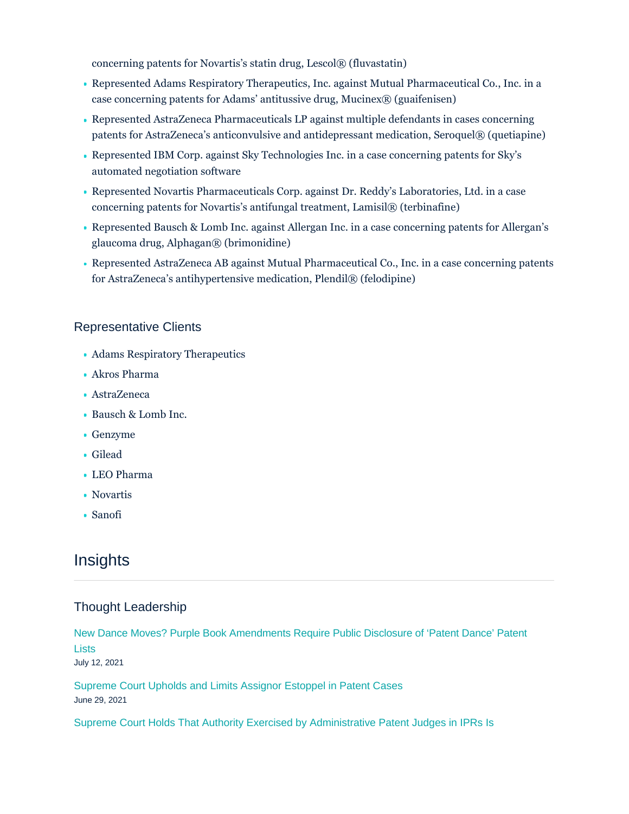concerning patents for Novartis's statin drug, Lescol® (fluvastatin)

- Represented Adams Respiratory Therapeutics, Inc. against Mutual Pharmaceutical Co., Inc. in a case concerning patents for Adams' antitussive drug, Mucinex® (guaifenisen)
- Represented AstraZeneca Pharmaceuticals LP against multiple defendants in cases concerning patents for AstraZeneca's anticonvulsive and antidepressant medication, Seroquel® (quetiapine)
- Represented IBM Corp. against Sky Technologies Inc. in a case concerning patents for Sky's automated negotiation software
- Represented Novartis Pharmaceuticals Corp. against Dr. Reddy's Laboratories, Ltd. in a case concerning patents for Novartis's antifungal treatment, Lamisil® (terbinafine)
- Represented Bausch & Lomb Inc. against Allergan Inc. in a case concerning patents for Allergan's glaucoma drug, Alphagan® (brimonidine)
- Represented AstraZeneca AB against Mutual Pharmaceutical Co., Inc. in a case concerning patents for AstraZeneca's antihypertensive medication, Plendil® (felodipine)

#### Representative Clients

- Adams Respiratory Therapeutics
- Akros Pharma
- AstraZeneca
- Bausch & Lomb Inc.
- Genzyme
- Gilead
- LEO Pharma
- Novartis
- Sanofi

# **Insights**

## Thought Leadership

[New Dance Moves? Purple Book Amendments Require Public Disclosure of 'Patent Dance' Patent](https://www.venable.com/insights/publications/2021/07/new-dance-moves-purple-book-amendments) Lists July 12, 2021

[Supreme Court Upholds and Limits Assignor Estoppel in Patent Cases](https://www.venable.com/insights/publications/2021/06/supreme-court-upholds-and-limits-assignor) June 29, 2021

[Supreme Court Holds That Authority Exercised by Administrative Patent Judges in IPRs Is](https://www.venable.com/insights/publications/2021/06/supreme-court-holds-that-authority-exercised)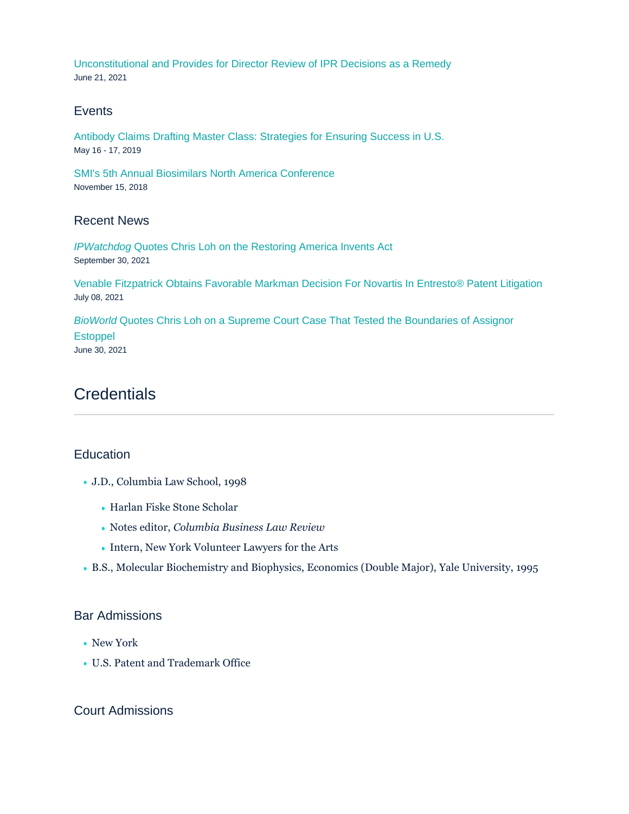[Unconstitutional and Provides for Director Review of IPR Decisions as a Remedy](https://www.venable.com/insights/publications/2021/06/supreme-court-holds-that-authority-exercised) June 21, 2021

#### **Events**

[Antibody Claims Drafting Master Class: Strategies for Ensuring Success in U.S.](https://www.venable.com/insights/events/2019/05/antibody-claims-drafting-master-class) May 16 - 17, 2019

[SMI's 5th Annual Biosimilars North America Conference](https://www.venable.com/insights/events/2018/11/smis-5th-annual-biosimilars-north-america-conferen) November 15, 2018

#### Recent News

IPWatchdog [Quotes Chris Loh on the Restoring America Invents Act](https://www.venable.com/about/news/2021/10/ipwatchdog-quotes-chris-loh) September 30, 2021

[Venable Fitzpatrick Obtains Favorable Markman Decision For Novartis In Entresto® Patent Litigation](https://www.venable.com/about/news/2021/07/venable-fitzpatrick-favorable-markman-novartis) July 08, 2021

BioWorld [Quotes Chris Loh on a Supreme Court Case That Tested the Boundaries of Assignor](https://www.venable.com/about/news/2021/06/chris-loh-on-a-supreme-court-case) **Estoppel** June 30, 2021

# **Credentials**

#### **Education**

- J.D., Columbia Law School, 1998
	- Harlan Fiske Stone Scholar
	- Notes editor, *Columbia Business Law Review*
	- Intern, New York Volunteer Lawyers for the Arts
- B.S., Molecular Biochemistry and Biophysics, Economics (Double Major), Yale University, 1995

#### Bar Admissions

- New York
- U.S. Patent and Trademark Office

#### Court Admissions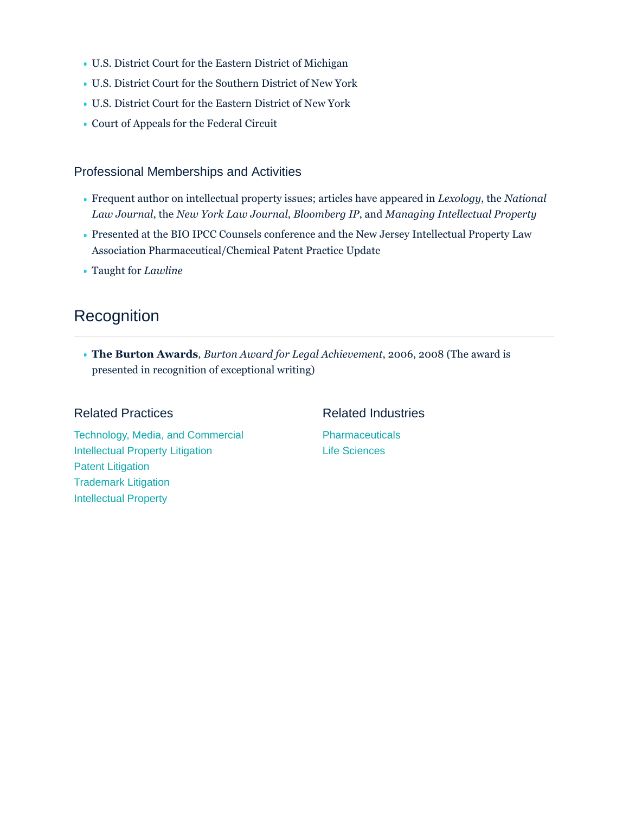- U.S. District Court for the Eastern District of Michigan
- U.S. District Court for the Southern District of New York
- U.S. District Court for the Eastern District of New York
- Court of Appeals for the Federal Circuit

#### Professional Memberships and Activities

- Frequent author on intellectual property issues; articles have appeared in *Lexology*, the *National Law Journal*, the *New York Law Journal*, *Bloomberg IP*, and *Managing Intellectual Property*
- Presented at the BIO IPCC Counsels conference and the New Jersey Intellectual Property Law Association Pharmaceutical/Chemical Patent Practice Update
- Taught for *Lawline*

# **Recognition**

**The Burton Awards**, *Burton Award for Legal Achievement*, 2006, 2008 (The award is presented in recognition of exceptional writing)

#### Related Practices

Related Industries

[Technology, Media, and Commercial](https://www.venable.com/services/practices/technology-media-and-commercial) [Intellectual Property Litigation](https://www.venable.com/services/practices/intellectual-property-litigation) [Patent Litigation](https://www.venable.com/services/practices/patent-litigation) [Trademark Litigation](https://www.venable.com/services/practices/trademark-litigation) [Intellectual Property](https://www.venable.com/services/practices/intellectual-property)

**[Pharmaceuticals](https://www.venable.com/services/industries/pharmaceuticals)** [Life Sciences](https://www.venable.com/services/industries/life-sciences)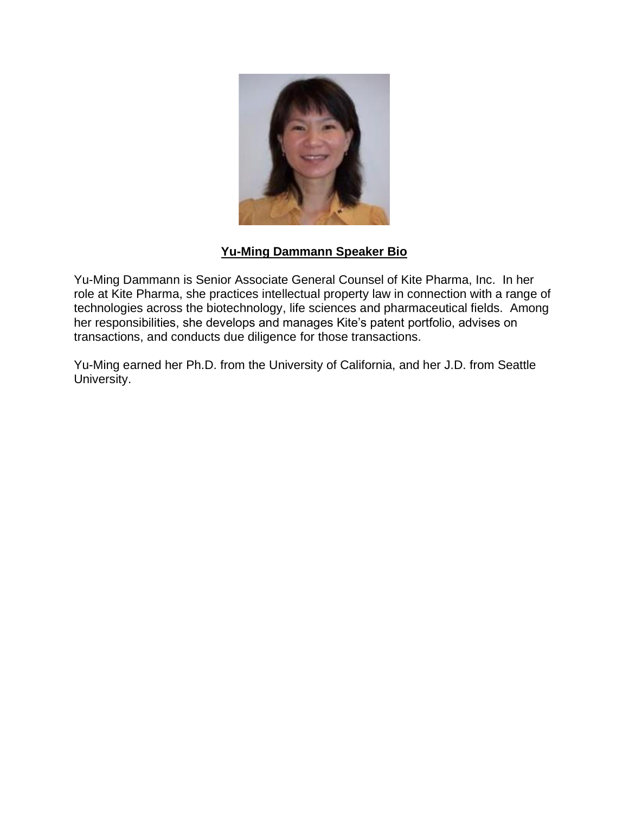

## **Yu-Ming Dammann Speaker Bio**

Yu-Ming Dammann is Senior Associate General Counsel of Kite Pharma, Inc. In her role at Kite Pharma, she practices intellectual property law in connection with a range of technologies across the biotechnology, life sciences and pharmaceutical fields. Among her responsibilities, she develops and manages Kite's patent portfolio, advises on transactions, and conducts due diligence for those transactions.

Yu-Ming earned her Ph.D. from the University of California, and her J.D. from Seattle University.